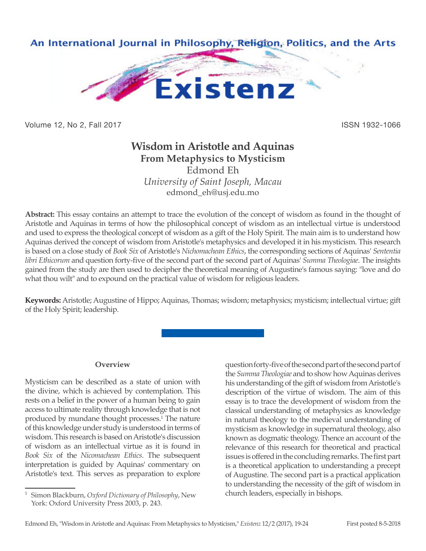

Volume 12, No 2, Fall 2017 **ISSN 1932-1066** 

# **Wisdom in Aristotle and Aquinas From Metaphysics to Mysticism**

Edmond Eh *University of Saint Joseph, Macau*

edmond\_eh@usj.edu.mo

**Abstract:** This essay contains an attempt to trace the evolution of the concept of wisdom as found in the thought of Aristotle and Aquinas in terms of how the philosophical concept of wisdom as an intellectual virtue is understood and used to express the theological concept of wisdom as a gift of the Holy Spirit. The main aim is to understand how Aquinas derived the concept of wisdom from Aristotle's metaphysics and developed it in his mysticism. This research is based on a close study of *Book Six* of Aristotle's *Nichomachean Ethics*, the corresponding sections of Aquinas' *Sententia libri Ethicorum* and question forty-five of the second part of the second part of Aquinas' *Summa Theologiae*. The insights gained from the study are then used to decipher the theoretical meaning of Augustine's famous saying: "love and do what thou wilt" and to expound on the practical value of wisdom for religious leaders.

**Keywords:** Aristotle; Augustine of Hippo; Aquinas, Thomas; wisdom; metaphysics; mysticism; intellectual virtue; gift of the Holy Spirit; leadership.

# **Overview**

Mysticism can be described as a state of union with the divine, which is achieved by contemplation. This rests on a belief in the power of a human being to gain access to ultimate reality through knowledge that is not produced by mundane thought processes.<sup>1</sup> The nature of this knowledge under study is understood in terms of wisdom. This research is based on Aristotle's discussion of wisdom as an intellectual virtue as it is found in *Book Six* of the *Nicomachean Ethics*. The subsequent interpretation is guided by Aquinas' commentary on Aristotle's text. This serves as preparation to explore

question forty-five of the second part of the second part of the *Summa Theologiae* and to show how Aquinas derives his understanding of the gift of wisdom from Aristotle's description of the virtue of wisdom. The aim of this essay is to trace the development of wisdom from the classical understanding of metaphysics as knowledge in natural theology to the medieval understanding of mysticism as knowledge in supernatural theology, also known as dogmatic theology. Thence an account of the relevance of this research for theoretical and practical issues is offered in the concluding remarks. The first part is a theoretical application to understanding a precept of Augustine. The second part is a practical application to understanding the necessity of the gift of wisdom in church leaders, especially in bishops.

<sup>1</sup> Simon Blackburn, *Oxford Dictionary of Philosophy*, New York: Oxford University Press 2003, p. 243.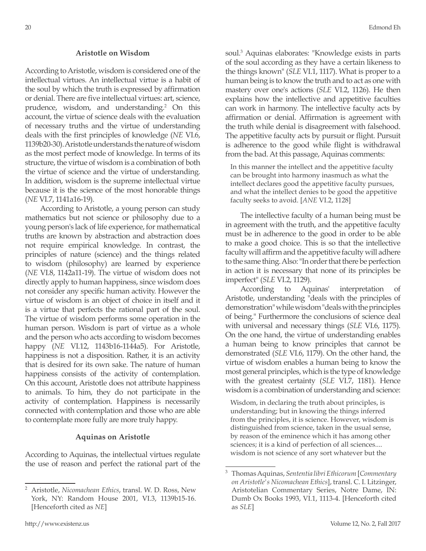### **Aristotle on Wisdom**

According to Aristotle, wisdom is considered one of the intellectual virtues. An intellectual virtue is a habit of the soul by which the truth is expressed by affirmation or denial. There are five intellectual virtues: art, science, prudence, wisdom, and understanding.2 On this account, the virtue of science deals with the evaluation of necessary truths and the virtue of understanding deals with the first principles of knowledge (*NE* VI.6, 1139b20-30). Aristotle understands the nature of wisdom as the most perfect mode of knowledge. In terms of its structure, the virtue of wisdom is a combination of both the virtue of science and the virtue of understanding. In addition, wisdom is the supreme intellectual virtue because it is the science of the most honorable things (*NE* VI.7, 1141a16-19).

According to Aristotle, a young person can study mathematics but not science or philosophy due to a young person's lack of life experience, for mathematical truths are known by abstraction and abstraction does not require empirical knowledge. In contrast, the principles of nature (science) and the things related to wisdom (philosophy) are learned by experience (*NE* VI.8, 1142a11-19). The virtue of wisdom does not directly apply to human happiness, since wisdom does not consider any specific human activity. However the virtue of wisdom is an object of choice in itself and it is a virtue that perfects the rational part of the soul. The virtue of wisdom performs some operation in the human person. Wisdom is part of virtue as a whole and the person who acts according to wisdom becomes happy (*NE* VI.12, 1143b16-1144a5). For Aristotle, happiness is not a disposition. Rather, it is an activity that is desired for its own sake. The nature of human happiness consists of the activity of contemplation. On this account, Aristotle does not attribute happiness to animals. To him, they do not participate in the activity of contemplation. Happiness is necessarily connected with contemplation and those who are able to contemplate more fully are more truly happy.

#### **Aquinas on Aristotle**

According to Aquinas, the intellectual virtues regulate the use of reason and perfect the rational part of the

soul.3 Aquinas elaborates: "Knowledge exists in parts of the soul according as they have a certain likeness to the things known" (*SLE* VI.1, 1117). What is proper to a human being is to know the truth and to act as one with mastery over one's actions (*SLE* VI.2, 1126). He then explains how the intellective and appetitive faculties can work in harmony. The intellective faculty acts by affirmation or denial. Affirmation is agreement with the truth while denial is disagreement with falsehood. The appetitive faculty acts by pursuit or flight. Pursuit is adherence to the good while flight is withdrawal from the bad. At this passage, Aquinas comments:

In this manner the intellect and the appetitive faculty can be brought into harmony inasmuch as what the intellect declares good the appetitive faculty pursues, and what the intellect denies to be good the appetitive faculty seeks to avoid. [*ANE* VI.2, 1128]

The intellective faculty of a human being must be in agreement with the truth, and the appetitive faculty must be in adherence to the good in order to be able to make a good choice. This is so that the intellective faculty will affirm and the appetitive faculty will adhere to the same thing. Also: "In order that there be perfection in action it is necessary that none of its principles be imperfect" (*SLE* VI.2, 1129).

According to Aquinas' interpretation of Aristotle, understanding "deals with the principles of demonstration" while wisdom "deals with the principles of being." Furthermore the conclusions of science deal with universal and necessary things (*SLE* VI.6, 1175). On the one hand, the virtue of understanding enables a human being to know principles that cannot be demonstrated (*SLE* VI.6, 1179). On the other hand, the virtue of wisdom enables a human being to know the most general principles, which is the type of knowledge with the greatest certainty (*SLE* VI.7, 1181). Hence wisdom is a combination of understanding and science:

Wisdom, in declaring the truth about principles, is understanding; but in knowing the things inferred from the principles, it is science. However, wisdom is distinguished from science, taken in the usual sense, by reason of the eminence which it has among other sciences; it is a kind of perfection of all sciences.... wisdom is not science of any sort whatever but the

<sup>2</sup> Aristotle, *Nicomachean Ethics*, transl. W. D. Ross, New York, NY: Random House 2001, VI.3, 1139b15-16. [Henceforth cited as *NE*]

<sup>3</sup> Thomas Aquinas, *Sententia libri Ethicorum* [*Commentary on Aristotle's Nicomachean Ethics*], transl. C. I. Litzinger, Aristotelian Commentary Series, Notre Dame, IN: Dumb Ox Books 1993, VI.1, 1113-4. [Henceforth cited as *SLE*]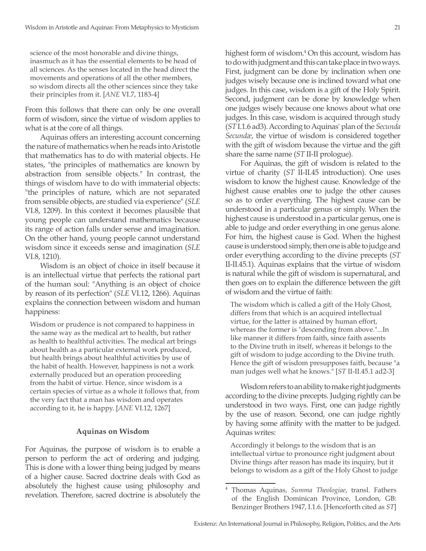science of the most honorable and divine things, inasmuch as it has the essential elements to be head of all sciences. As the senses located in the head direct the movements and operations of all the other members, so wisdom directs all the other sciences since they take their principles from it. [*ANE* VI.7, 1183-4]

From this follows that there can only be one overall form of wisdom, since the virtue of wisdom applies to what is at the core of all things.

Aquinas offers an interesting account concerning the nature of mathematics when he reads into Aristotle that mathematics has to do with material objects. He states, "the principles of mathematics are known by abstraction from sensible objects." In contrast, the things of wisdom have to do with immaterial objects: "the principles of nature, which are not separated from sensible objects, are studied via experience" (*SLE* VI.8, 1209). In this context it becomes plausible that young people can understand mathematics because its range of action falls under sense and imagination. On the other hand, young people cannot understand wisdom since it exceeds sense and imagination (*SLE* VI.8, 1210).

Wisdom is an object of choice in itself because it is an intellectual virtue that perfects the rational part of the human soul: "Anything is an object of choice by reason of its perfection" (*SLE* VI.12, 1266). Aquinas explains the connection between wisdom and human happiness:

Wisdom or prudence is not compared to happiness in the same way as the medical art to health, but rather as health to healthful activities. The medical art brings about health as a particular external work produced, but health brings about healthful activities by use of the habit of health. However, happiness is not a work externally produced but an operation proceeding from the habit of virtue. Hence, since wisdom is a certain species of virtue as a whole it follows that, from the very fact that a man has wisdom and operates according to it, he is happy. [*ANE* VI.12, 1267]

## **Aquinas on Wisdom**

For Aquinas, the purpose of wisdom is to enable a person to perform the act of ordering and judging. This is done with a lower thing being judged by means of a higher cause. Sacred doctrine deals with God as absolutely the highest cause using philosophy and revelation. Therefore, sacred doctrine is absolutely the highest form of wisdom.<sup>4</sup> On this account, wisdom has to do with judgment and this can take place in two ways. First, judgment can be done by inclination when one judges wisely because one is inclined toward what one judges. In this case, wisdom is a gift of the Holy Spirit. Second, judgment can be done by knowledge when one judges wisely because one knows about what one judges. In this case, wisdom is acquired through study (*ST* I.1.6 ad3). According to Aquinas' plan of the *Secunda Secundæ*, the virtue of wisdom is considered together with the gift of wisdom because the virtue and the gift share the same name (*ST* II-II prologue).

For Aquinas, the gift of wisdom is related to the virtue of charity (*ST* II-II.45 introduction). One uses wisdom to know the highest cause. Knowledge of the highest cause enables one to judge the other causes so as to order everything. The highest cause can be understood in a particular genus or simply. When the highest cause is understood in a particular genus, one is able to judge and order everything in one genus alone. For him, the highest cause is God. When the highest cause is understood simply, then one is able to judge and order everything according to the divine precepts (*ST*  II-II.45.1). Aquinas explains that the virtue of wisdom is natural while the gift of wisdom is supernatural, and then goes on to explain the difference between the gift of wisdom and the virtue of faith:

The wisdom which is called a gift of the Holy Ghost, differs from that which is an acquired intellectual virtue, for the latter is attained by human effort, whereas the former is "descending from above."...In like manner it differs from faith, since faith assents to the Divine truth in itself, whereas it belongs to the gift of wisdom to judge according to the Divine truth. Hence the gift of wisdom presupposes faith, because "a man judges well what he knows." [*ST* II-II.45.1 ad2-3]

Wisdom refers to an ability to make right judgments according to the divine precepts. Judging rightly can be understood in two ways. First, one can judge rightly by the use of reason. Second, one can judge rightly by having some affinity with the matter to be judged. Aquinas writes:

Accordingly it belongs to the wisdom that is an intellectual virtue to pronounce right judgment about Divine things after reason has made its inquiry, but it belongs to wisdom as a gift of the Holy Ghost to judge

<sup>4</sup> Thomas Aquinas, *Summa Theologiae*, transl. Fathers of the English Dominican Province, London, GB: Benzinger Brothers 1947, I.1.6. [Henceforth cited as *ST*]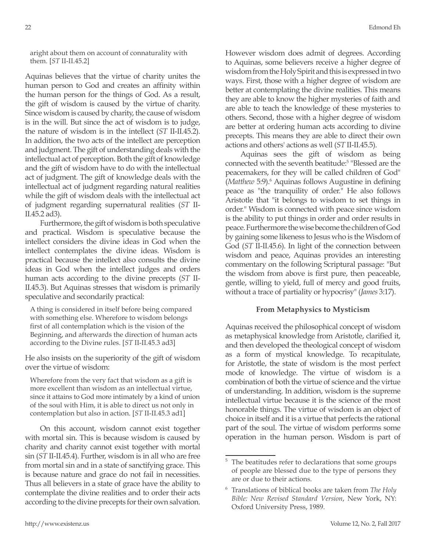aright about them on account of connaturality with them. [*ST* II-II.45.2]

Aquinas believes that the virtue of charity unites the human person to God and creates an affinity within the human person for the things of God. As a result, the gift of wisdom is caused by the virtue of charity. Since wisdom is caused by charity, the cause of wisdom is in the will. But since the act of wisdom is to judge, the nature of wisdom is in the intellect (*ST* II-II.45.2). In addition, the two acts of the intellect are perception and judgment. The gift of understanding deals with the intellectual act of perception. Both the gift of knowledge and the gift of wisdom have to do with the intellectual act of judgment. The gift of knowledge deals with the intellectual act of judgment regarding natural realities while the gift of wisdom deals with the intellectual act of judgment regarding supernatural realities (*ST* II-II.45.2 ad3).

Furthermore, the gift of wisdom is both speculative and practical. Wisdom is speculative because the intellect considers the divine ideas in God when the intellect contemplates the divine ideas. Wisdom is practical because the intellect also consults the divine ideas in God when the intellect judges and orders human acts according to the divine precepts (*ST* II-II.45.3). But Aquinas stresses that wisdom is primarily speculative and secondarily practical:

A thing is considered in itself before being compared with something else. Wherefore to wisdom belongs first of all contemplation which is the vision of the Beginning, and afterwards the direction of human acts according to the Divine rules. [*ST* II-II.45.3 ad3]

He also insists on the superiority of the gift of wisdom over the virtue of wisdom:

Wherefore from the very fact that wisdom as a gift is more excellent than wisdom as an intellectual virtue, since it attains to God more intimately by a kind of union of the soul with Him, it is able to direct us not only in contemplation but also in action. [*ST* II-II.45.3 ad1]

On this account, wisdom cannot exist together with mortal sin. This is because wisdom is caused by charity and charity cannot exist together with mortal sin (*ST* II-II.45.4). Further, wisdom is in all who are free from mortal sin and in a state of sanctifying grace. This is because nature and grace do not fail in necessities. Thus all believers in a state of grace have the ability to contemplate the divine realities and to order their acts according to the divine precepts for their own salvation. However wisdom does admit of degrees. According to Aquinas, some believers receive a higher degree of wisdom from the Holy Spirit and this is expressed in two ways. First, those with a higher degree of wisdom are better at contemplating the divine realities. This means they are able to know the higher mysteries of faith and are able to teach the knowledge of these mysteries to others. Second, those with a higher degree of wisdom are better at ordering human acts according to divine precepts. This means they are able to direct their own actions and others' actions as well (*ST* II-II.45.5).

Aquinas sees the gift of wisdom as being connected with the seventh beatitude:<sup>5</sup> "Blessed are the peacemakers, for they will be called children of God" (*Matthew* 5:9).<sup>6</sup> Aquinas follows Augustine in defining peace as "the tranquility of order." He also follows Aristotle that "it belongs to wisdom to set things in order." Wisdom is connected with peace since wisdom is the ability to put things in order and order results in peace. Furthermore the wise become the children of God by gaining some likeness to Jesus who is the Wisdom of God (*ST* II-II.45.6). In light of the connection between wisdom and peace, Aquinas provides an interesting commentary on the following Scriptural passage: "But the wisdom from above is first pure, then peaceable, gentle, willing to yield, full of mercy and good fruits, without a trace of partiality or hypocrisy" (*James* 3:17).

# **From Metaphysics to Mysticism**

Aquinas received the philosophical concept of wisdom as metaphysical knowledge from Aristotle, clarified it, and then developed the theological concept of wisdom as a form of mystical knowledge. To recapitulate, for Aristotle, the state of wisdom is the most perfect mode of knowledge. The virtue of wisdom is a combination of both the virtue of science and the virtue of understanding. In addition, wisdom is the supreme intellectual virtue because it is the science of the most honorable things. The virtue of wisdom is an object of choice in itself and it is a virtue that perfects the rational part of the soul. The virtue of wisdom performs some operation in the human person. Wisdom is part of

<sup>&</sup>lt;sup>5</sup> The beatitudes refer to declarations that some groups of people are blessed due to the type of persons they are or due to their actions.

<sup>6</sup> Translations of biblical books are taken from *The Holy Bible: New Revised Standard Version*, New York, NY: Oxford University Press, 1989.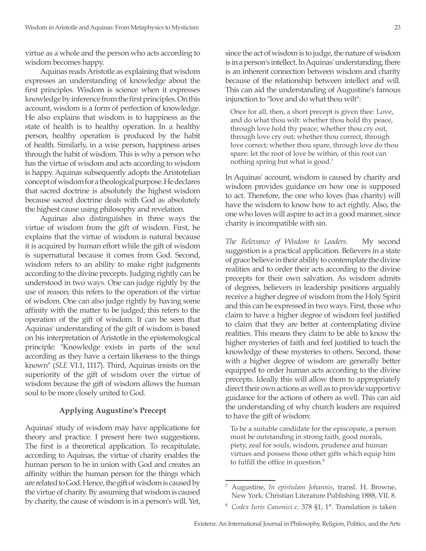virtue as a whole and the person who acts according to wisdom becomes happy.

Aquinas reads Aristotle as explaining that wisdom expresses an understanding of knowledge about the first principles. Wisdom is science when it expresses knowledge by inference from the first principles. On this account, wisdom is a form of perfection of knowledge. He also explains that wisdom is to happiness as the state of health is to healthy operation. In a healthy person, healthy operation is produced by the habit of health. Similarly, in a wise person, happiness arises through the habit of wisdom. This is why a person who has the virtue of wisdom and acts according to wisdom is happy. Aquinas subsequently adopts the Aristotelian concept of wisdom for a theological purpose. He declares that sacred doctrine is absolutely the highest wisdom because sacred doctrine deals with God as absolutely the highest cause using philosophy and revelation.

Aquinas also distinguishes in three ways the virtue of wisdom from the gift of wisdom. First, he explains that the virtue of wisdom is natural because it is acquired by human effort while the gift of wisdom is supernatural because it comes from God. Second, wisdom refers to an ability to make right judgments according to the divine precepts. Judging rightly can be understood in two ways. One can judge rightly by the use of reason; this refers to the operation of the virtue of wisdom. One can also judge rightly by having some affinity with the matter to be judged; this refers to the operation of the gift of wisdom. It can be seen that Aquinas' understanding of the gift of wisdom is based on his interpretation of Aristotle in the epistemological principle: "Knowledge exists in parts of the soul according as they have a certain likeness to the things known" (*SLE* VI.1, 1117). Third, Aquinas insists on the superiority of the gift of wisdom over the virtue of wisdom because the gift of wisdom allows the human soul to be more closely united to God.

## **Applying Augustine's Precept**

Aquinas' study of wisdom may have applications for theory and practice. I present here two suggestions. The first is a theoretical application. To recapitulate, according to Aquinas, the virtue of charity enables the human person to be in union with God and creates an affinity within the human person for the things which are related to God. Hence, the gift of wisdom is caused by the virtue of charity. By assuming that wisdom is caused by charity, the cause of wisdom is in a person's will. Yet, since the act of wisdom is to judge, the nature of wisdom is in a person's intellect. In Aquinas' understanding, there is an inherent connection between wisdom and charity because of the relationship between intellect and will. This can aid the understanding of Augustine's famous injunction to "love and do what thou wilt":

Once for all, then, a short precept is given thee: Love, and do what thou wilt: whether thou hold thy peace, through love hold thy peace; whether thou cry out, through love cry out; whether thou correct, through love correct; whether thou spare, through love do thou spare: let the root of love be within, of this root can nothing spring but what is good.7

In Aquinas' account, wisdom is caused by charity and wisdom provides guidance on how one is supposed to act. Therefore, the one who loves (has charity) will have the wisdom to know how to act rightly. Also, the one who loves will aspire to act in a good manner, since charity is incompatible with sin.

*The Relevance of Wisdom to Leaders*. My second suggestion is a practical application. Believers in a state of grace believe in their ability to contemplate the divine realities and to order their acts according to the divine precepts for their own salvation. As wisdom admits of degrees, believers in leadership positions arguably receive a higher degree of wisdom from the Holy Spirit and this can be expressed in two ways. First, those who claim to have a higher degree of wisdom feel justified to claim that they are better at contemplating divine realities. This means they claim to be able to know the higher mysteries of faith and feel justified to teach the knowledge of these mysteries to others. Second, those with a higher degree of wisdom are generally better equipped to order human acts according to the divine precepts. Ideally this will allow them to appropriately direct their own actions as well as to provide supportive guidance for the actions of others as well. This can aid the understanding of why church leaders are required to have the gift of wisdom:

To be a suitable candidate for the episcopate, a person must be outstanding in strong faith, good morals, piety, zeal for souls, wisdom, prudence and human virtues and possess those other gifts which equip him to fulfill the office in question.<sup>8</sup>

<sup>7</sup> Augustine, *In epistulam Johannis*, transl. H. Browne, New York: Christian Literature Publishing 1888, VII. 8.

<sup>8</sup> *Codex Iuris Canonici* c. 378 §1; 1°. Translation is taken